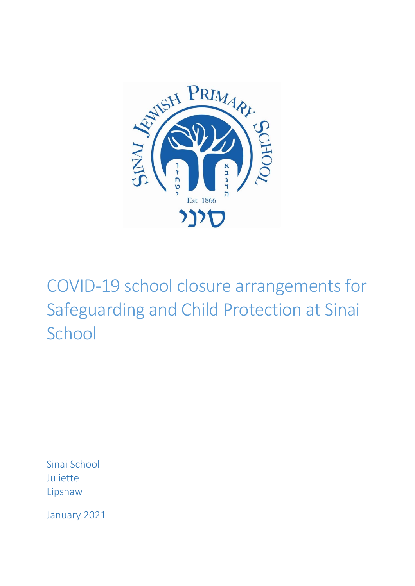

COVID-19 school closure arrangements for Safeguarding and Child Protection at Sinai School

Sinai School Juliette Lipshaw

January 2021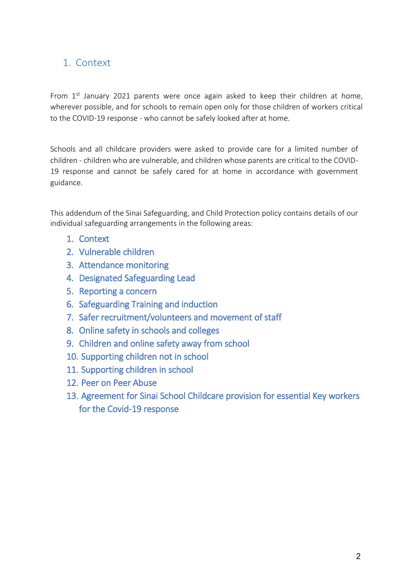## <span id="page-1-0"></span>1. Context

From  $1^{st}$  January 2021 parents were once again asked to keep their children at home, wherever possible, and for schools to remain open only for those children of workers critical to the COVID-19 response - who cannot be safely looked after at home.

Schools and all childcare providers were asked to provide care for a limited number of children - children who are vulnerable, and children whose parents are critical to the COVID-19 response and cannot be safely cared for at home in accordance with government guidance.

This addendum of the Sinai Safeguarding, and Child Protection policy contains details of our individual safeguarding arrangements in the following areas:

- 1. [Context](#page-1-0)
- 2. Vulnerable children
- 3. Attendance monitoring
- 4. Designated Safeguarding Lead
- 5. Reporting a concern
- 6. Safeguarding Training and induction
- 7. Safer recruitment/volunteers and movement of staff
- 8. Online safety in schools and colleges
- 9. Children and online safety away from school
- 10. Supporting children not in school
- 11. Supporting children in school
- 12. Peer on Peer Abuse
- 13. Agreement for Sinai School Childcare provision for essential Key workers for the Covid-19 response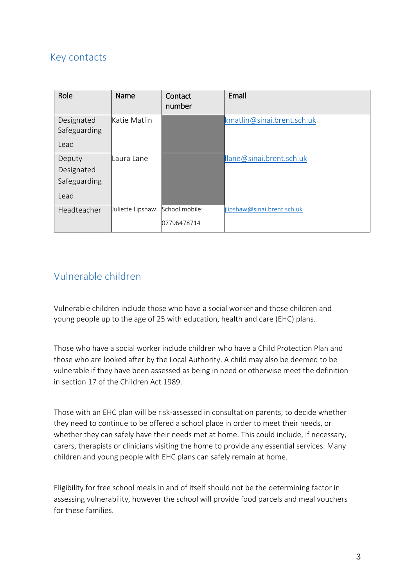## Key contacts

| Role                                         | <b>Name</b>      | Contact<br>number             | Email                       |
|----------------------------------------------|------------------|-------------------------------|-----------------------------|
| Designated<br>Safeguarding<br>Lead           | Katie Matlin     |                               | kmatlin@sinai.brent.sch.uk  |
| Deputy<br>Designated<br>Safeguarding<br>Lead | Laura Lane       |                               | llane@sinai.brent.sch.uk    |
| Headteacher                                  | Juliette Lipshaw | School mobile:<br>07796478714 | jlipshaw@sinai.brent.sch.uk |

## Vulnerable children

Vulnerable children include those who have a social worker and those children and young people up to the age of 25 with education, health and care (EHC) plans.

Those who have a social worker include children who have a Child Protection Plan and those who are looked after by the Local Authority. A child may also be deemed to be vulnerable if they have been assessed as being in need or otherwise meet the definition in section 17 of the Children Act 1989.

Those with an EHC plan will be risk-assessed in consultation parents, to decide whether they need to continue to be offered a school place in order to meet their needs, or whether they can safely have their needs met at home. This could include, if necessary, carers, therapists or clinicians visiting the home to provide any essential services. Many children and young people with EHC plans can safely remain at home.

Eligibility for free school meals in and of itself should not be the determining factor in assessing vulnerability, however the school will provide food parcels and meal vouchers for these families.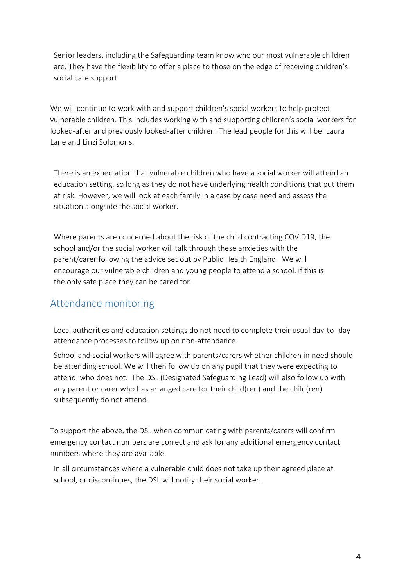Senior leaders, including the Safeguarding team know who our most vulnerable children are. They have the flexibility to offer a place to those on the edge of receiving children's social care support.

We will continue to work with and support children's social workers to help protect vulnerable children. This includes working with and supporting children's social workers for looked-after and previously looked-after children. The lead people for this will be: Laura Lane and Linzi Solomons.

There is an expectation that vulnerable children who have a social worker will attend an education setting, so long as they do not have underlying health conditions that put them at risk. However, we will look at each family in a case by case need and assess the situation alongside the social worker.

Where parents are concerned about the risk of the child contracting COVID19, the school and/or the social worker will talk through these anxieties with the parent/carer following the advice set out by Public Health England. We will encourage our vulnerable children and young people to attend a school, if this is the only safe place they can be cared for.

### Attendance monitoring

Local authorities and education settings do not need to complete their usual day-to- day attendance processes to follow up on non-attendance.

School and social workers will agree with parents/carers whether children in need should be attending school. We will then follow up on any pupil that they were expecting to attend, who does not. The DSL (Designated Safeguarding Lead) will also follow up with any parent or carer who has arranged care for their child(ren) and the child(ren) subsequently do not attend.

To support the above, the DSL when communicating with parents/carers will confirm emergency contact numbers are correct and ask for any additional emergency contact numbers where they are available.

In all circumstances where a vulnerable child does not take up their agreed place at school, or discontinues, the DSL will notify their social worker.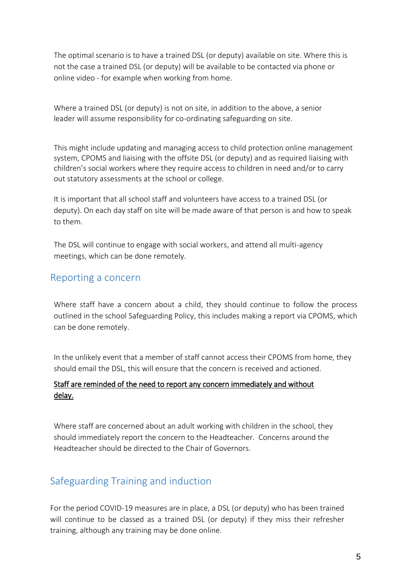The optimal scenario is to have a trained DSL (or deputy) available on site. Where this is not the case a trained DSL (or deputy) will be available to be contacted via phone or online video - for example when working from home.

Where a trained DSL (or deputy) is not on site, in addition to the above, a senior leader will assume responsibility for co-ordinating safeguarding on site.

This might include updating and managing access to child protection online management system, CPOMS and liaising with the offsite DSL (or deputy) and as required liaising with children's social workers where they require access to children in need and/or to carry out statutory assessments at the school or college.

It is important that all school staff and volunteers have access to a trained DSL (or deputy). On each day staff on site will be made aware of that person is and how to speak to them.

The DSL will continue to engage with social workers, and attend all multi-agency meetings, which can be done remotely.

### Reporting a concern

Where staff have a concern about a child, they should continue to follow the process outlined in the school Safeguarding Policy, this includes making a report via CPOMS, which can be done remotely.

In the unlikely event that a member of staff cannot access their CPOMS from home, they should email the DSL, this will ensure that the concern is received and actioned.

#### Staff are reminded of the need to report any concern immediately and without delay.

Where staff are concerned about an adult working with children in the school, they should immediately report the concern to the Headteacher. Concerns around the Headteacher should be directed to the Chair of Governors.

# Safeguarding Training and induction

For the period COVID-19 measures are in place, a DSL (or deputy) who has been trained will continue to be classed as a trained DSL (or deputy) if they miss their refresher training, although any training may be done online.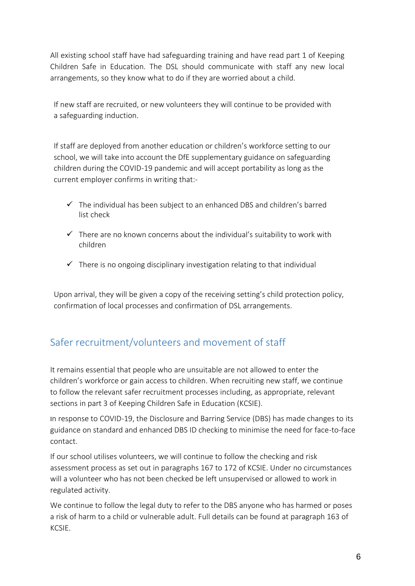All existing school staff have had safeguarding training and have read part 1 of Keeping Children Safe in Education. The DSL should communicate with staff any new local arrangements, so they know what to do if they are worried about a child.

If new staff are recruited, or new volunteers they will continue to be provided with a safeguarding induction.

If staff are deployed from another education or children's workforce setting to our school, we will take into account the DfE supplementary guidance on safeguarding children during the COVID-19 pandemic and will accept portability as long as the current employer confirms in writing that:-

- $\checkmark$  The individual has been subject to an enhanced DBS and children's barred list check
- $\checkmark$  There are no known concerns about the individual's suitability to work with children
- $\checkmark$  There is no ongoing disciplinary investigation relating to that individual

Upon arrival, they will be given a copy of the receiving setting's child protection policy, confirmation of local processes and confirmation of DSL arrangements.

# Safer recruitment/volunteers and movement of staff

It remains essential that people who are unsuitable are not allowed to enter the children's workforce or gain access to children. When recruiting new staff, we continue to follow the relevant safer recruitment processes including, as appropriate, relevant sections in part 3 of Keeping Children Safe in Education (KCSIE).

In response to COVID-19, the Disclosure and Barring Service (DBS) has made changes to its guidance on standard and enhanced DBS ID checking to minimise the need for face-to-face contact.

If our school utilises volunteers, we will continue to follow the checking and risk assessment process as set out in paragraphs 167 to 172 of KCSIE. Under no circumstances will a volunteer who has not been checked be left unsupervised or allowed to work in regulated activity.

We continue to follow the legal duty to refer to the DBS anyone who has harmed or poses a risk of harm to a child or vulnerable adult. Full details can be found at paragraph 163 of KCSIE.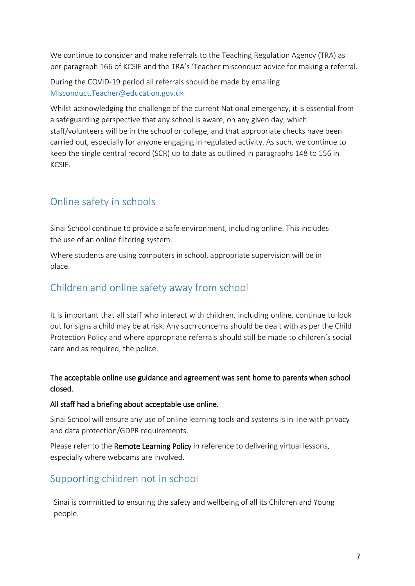We continue to consider and make referrals to the Teaching Regulation Agency (TRA) as per paragraph 166 of KCSIE and the TRA's 'Teacher misconduct advice for making a referral.

During the COVID-19 period all referrals should be made by emailing [Misconduct.Teacher@education.gov.uk](mailto:Misconduct.Teacher@education.gov.uk)

Whilst acknowledging the challenge of the current National emergency, it is essential from a safeguarding perspective that any school is aware, on any given day, which staff/volunteers will be in the school or college, and that appropriate checks have been carried out, especially for anyone engaging in regulated activity. As such, we continue to keep the single central record (SCR) up to date as outlined in paragraphs 148 to 156 in KCSIE.

# Online safety in schools

Sinai School continue to provide a safe environment, including online. This includes the use of an online filtering system.

Where students are using computers in school, appropriate supervision will be in place.

# Children and online safety away from school

It is important that all staff who interact with children, including online, continue to look out for signs a child may be at risk. Any such concerns should be dealt with as per the Child Protection Policy and where appropriate referrals should still be made to children's social care and as required, the police.

#### The acceptable online use guidance and agreement was sent home to parents when school closed.

#### All staff had a briefing about acceptable use online.

Sinai School will ensure any use of online learning tools and systems is in line with privacy and data protection/GDPR requirements.

Please refer to the Remote Learning Policy in reference to delivering virtual lessons, especially where webcams are involved.

# Supporting children not in school

Sinai is committed to ensuring the safety and wellbeing of all its Children and Young people.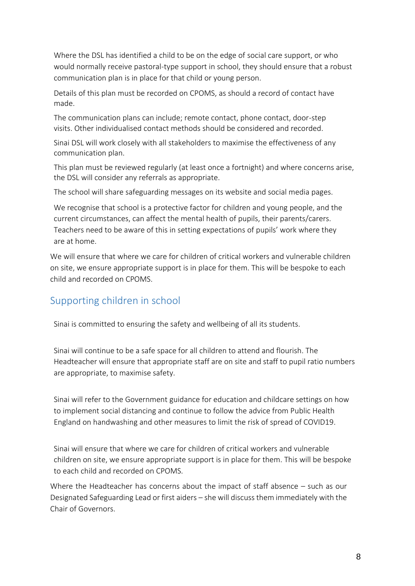Where the DSL has identified a child to be on the edge of social care support, or who would normally receive pastoral-type support in school, they should ensure that a robust communication plan is in place for that child or young person.

Details of this plan must be recorded on CPOMS, as should a record of contact have made.

The communication plans can include; remote contact, phone contact, door-step visits. Other individualised contact methods should be considered and recorded.

Sinai DSL will work closely with all stakeholders to maximise the effectiveness of any communication plan.

This plan must be reviewed regularly (at least once a fortnight) and where concerns arise, the DSL will consider any referrals as appropriate.

The school will share safeguarding messages on its website and social media pages.

We recognise that school is a protective factor for children and young people, and the current circumstances, can affect the mental health of pupils, their parents/carers. Teachers need to be aware of this in setting expectations of pupils' work where they are at home.

We will ensure that where we care for children of critical workers and vulnerable children on site, we ensure appropriate support is in place for them. This will be bespoke to each child and recorded on CPOMS.

## Supporting children in school

Sinai is committed to ensuring the safety and wellbeing of all its students.

Sinai will continue to be a safe space for all children to attend and flourish. The Headteacher will ensure that appropriate staff are on site and staff to pupil ratio numbers are appropriate, to maximise safety.

Sinai will refer to the Government guidance for education and childcare settings on how to implement social distancing and continue to follow the advice from Public Health England on handwashing and other measures to limit the risk of spread of COVID19.

Sinai will ensure that where we care for children of critical workers and vulnerable children on site, we ensure appropriate support is in place for them. This will be bespoke to each child and recorded on CPOMS.

Where the Headteacher has concerns about the impact of staff absence – such as our Designated Safeguarding Lead or first aiders – she will discuss them immediately with the Chair of Governors.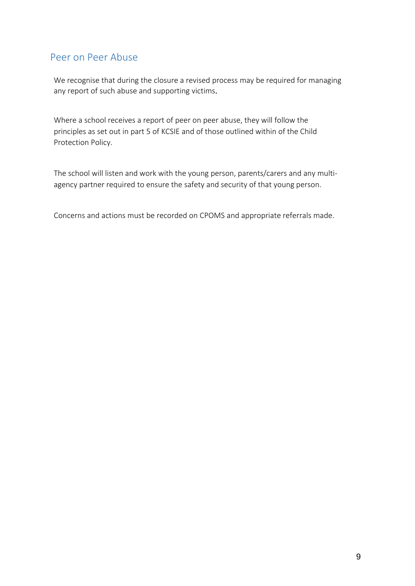## Peer on Peer Abuse

We recognise that during the closure a revised process may be required for managing any report of such abuse and supporting victims.

Where a school receives a report of peer on peer abuse, they will follow the principles as set out in part 5 of KCSIE and of those outlined within of the Child Protection Policy.

The school will listen and work with the young person, parents/carers and any multiagency partner required to ensure the safety and security of that young person.

Concerns and actions must be recorded on CPOMS and appropriate referrals made.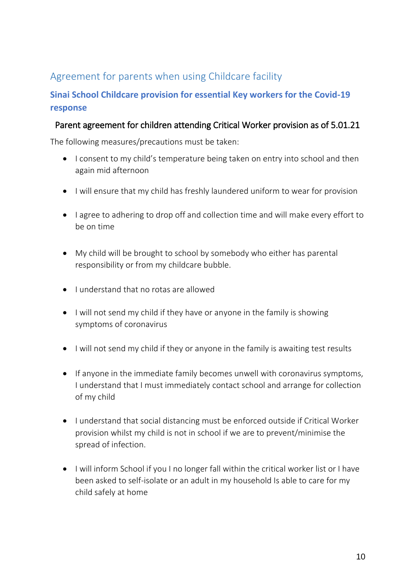# Agreement for parents when using Childcare facility

## **Sinai School Childcare provision for essential Key workers for the Covid-19 response**

### Parent agreement for children attending Critical Worker provision as of 5.01.21

The following measures/precautions must be taken:

- I consent to my child's temperature being taken on entry into school and then again mid afternoon
- I will ensure that my child has freshly laundered uniform to wear for provision
- I agree to adhering to drop off and collection time and will make every effort to be on time
- My child will be brought to school by somebody who either has parental responsibility or from my childcare bubble.
- I understand that no rotas are allowed
- $\bullet$  I will not send my child if they have or anyone in the family is showing symptoms of coronavirus
- I will not send my child if they or anyone in the family is awaiting test results
- If anyone in the immediate family becomes unwell with coronavirus symptoms, I understand that I must immediately contact school and arrange for collection of my child
- I understand that social distancing must be enforced outside if Critical Worker provision whilst my child is not in school if we are to prevent/minimise the spread of infection.
- I will inform School if you I no longer fall within the critical worker list or I have been asked to self-isolate or an adult in my household Is able to care for my child safely at home